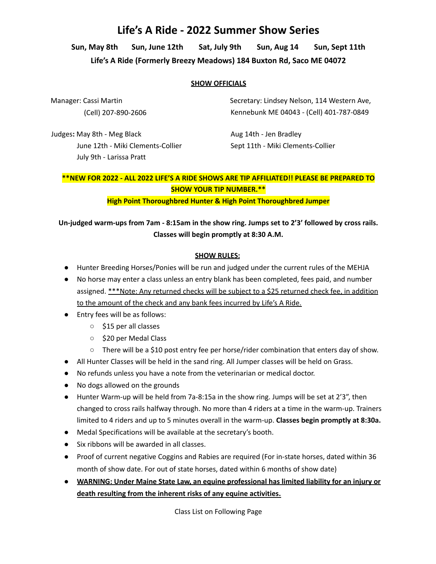# **Life's A Ride - 2022 Summer Show Series**

**Sun, May 8th Sun, June 12th Sat, July 9th Sun, Aug 14 Sun, Sept 11th Life's A Ride (Formerly Breezy Meadows) 184 Buxton Rd, Saco ME 04072**

### **SHOW OFFICIALS**

Manager: Cassi Martin (Cell) 207-890-2606 Secretary: Lindsey Nelson, 114 Western Ave, Kennebunk ME 04043 - (Cell) 401-787-0849

Judges**:** May 8th - Meg Black June 12th - Miki Clements-Collier July 9th - Larissa Pratt

Aug 14th - Jen Bradley Sept 11th - Miki Clements-Collier

## **\*\*NEW FOR 2022 - ALL 2022 LIFE'S A RIDE SHOWS ARE TIP AFFILIATED!! PLEASE BE PREPARED TO SHOW YOUR TIP NUMBER.\*\***

**High Point Thoroughbred Hunter & High Point Thoroughbred Jumper**

# **Un-judged warm-ups from 7am - 8:15am in the show ring. Jumps set to 2'3' followed by cross rails. Classes will begin promptly at 8:30 A.M.**

## **SHOW RULES:**

- Hunter Breeding Horses/Ponies will be run and judged under the current rules of the MEHJA
- No horse may enter a class unless an entry blank has been completed, fees paid, and number assigned. \*\*\*Note: Any returned checks will be subject to a \$25 returned check fee, in addition to the amount of the check and any bank fees incurred by Life's A Ride.
- Entry fees will be as follows:
	- \$15 per all classes
	- \$20 per Medal Class
	- $\circ$  There will be a \$10 post entry fee per horse/rider combination that enters day of show.
- All Hunter Classes will be held in the sand ring. All Jumper classes will be held on Grass.
- No refunds unless you have a note from the veterinarian or medical doctor.
- No dogs allowed on the grounds
- Hunter Warm-up will be held from 7a-8:15a in the show ring. Jumps will be set at 2'3", then changed to cross rails halfway through. No more than 4 riders at a time in the warm-up. Trainers limited to 4 riders and up to 5 minutes overall in the warm-up. **Classes begin promptly at 8:30a.**
- Medal Specifications will be available at the secretary's booth.
- Six ribbons will be awarded in all classes.
- Proof of current negative Coggins and Rabies are required (For in-state horses, dated within 36 month of show date. For out of state horses, dated within 6 months of show date)
- **● WARNING: Under Maine State Law, an equine professional has limited liability for an injury or death resulting from the inherent risks of any equine activities.**

Class List on Following Page